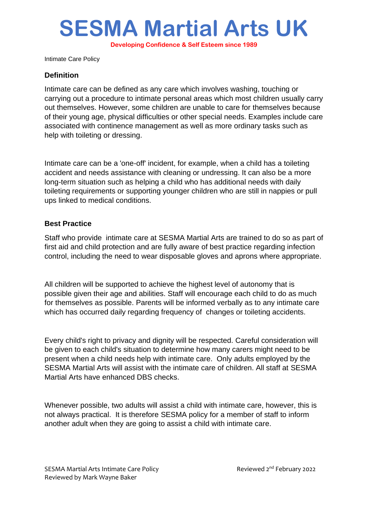## **SESMA Martial Arts UK**

**Developing Confidence & Self Esteem since 1989**

Intimate Care Policy

## **Definition**

Intimate care can be defined as any care which involves washing, touching or carrying out a procedure to intimate personal areas which most children usually carry out themselves. However, some children are unable to care for themselves because of their young age, physical difficulties or other special needs. Examples include care associated with continence management as well as more ordinary tasks such as help with toileting or dressing.

Intimate care can be a 'one-off' incident, for example, when a child has a toileting accident and needs assistance with cleaning or undressing. It can also be a more long-term situation such as helping a child who has additional needs with daily toileting requirements or supporting younger children who are still in nappies or pull ups linked to medical conditions.

## **Best Practice**

Staff who provide intimate care at SESMA Martial Arts are trained to do so as part of first aid and child protection and are fully aware of best practice regarding infection control, including the need to wear disposable gloves and aprons where appropriate.

All children will be supported to achieve the highest level of autonomy that is possible given their age and abilities. Staff will encourage each child to do as much for themselves as possible. Parents will be informed verbally as to any intimate care which has occurred daily regarding frequency of changes or toileting accidents.

Every child's right to privacy and dignity will be respected. Careful consideration will be given to each child's situation to determine how many carers might need to be present when a child needs help with intimate care. Only adults employed by the SESMA Martial Arts will assist with the intimate care of children. All staff at SESMA Martial Arts have enhanced DBS checks.

Whenever possible, two adults will assist a child with intimate care, however, this is not always practical. It is therefore SESMA policy for a member of staff to inform another adult when they are going to assist a child with intimate care.